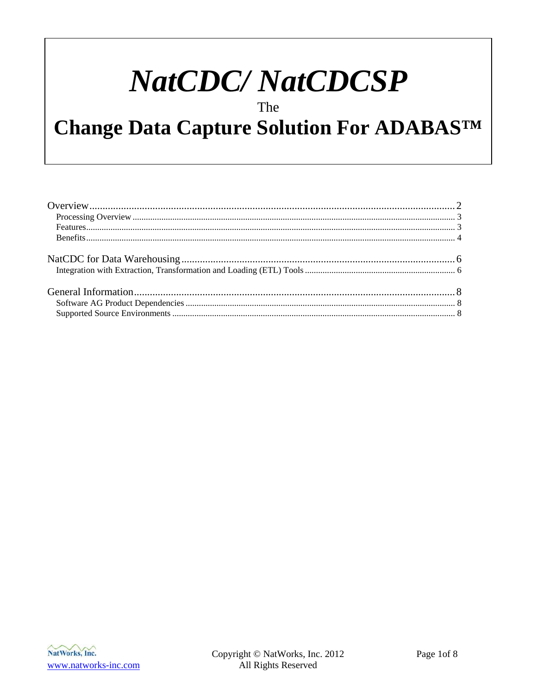# **NatCDC/NatCDCSP**

The

# Change Data Capture Solution For ADABASTM

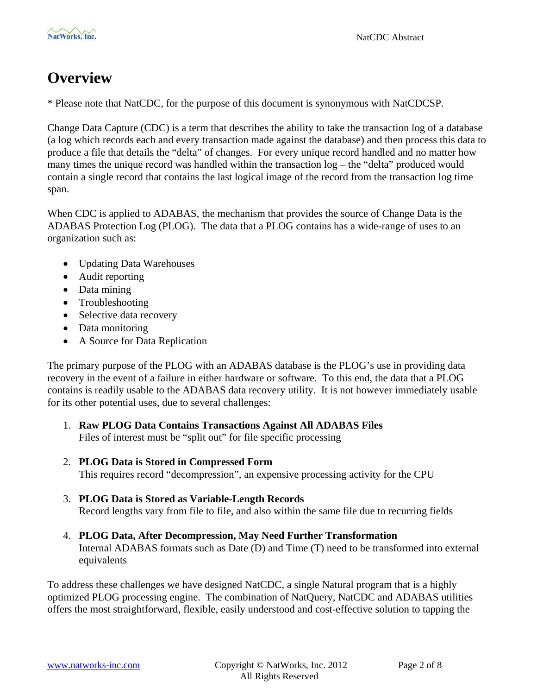# <span id="page-1-0"></span>**Overview**

\* Please note that NatCDC, for the purpose of this document is synonymous with NatCDCSP.

Change Data Capture (CDC) is a term that describes the ability to take the transaction log of a database (a log which records each and every transaction made against the database) and then process this data to produce a file that details the "delta" of changes. For every unique record handled and no matter how many times the unique record was handled within the transaction log – the "delta" produced would contain a single record that contains the last logical image of the record from the transaction log time span.

When CDC is applied to ADABAS, the mechanism that provides the source of Change Data is the ADABAS Protection Log (PLOG). The data that a PLOG contains has a wide-range of uses to an organization such as:

- Updating Data Warehouses
- Audit reporting
- Data mining
- Troubleshooting
- Selective data recovery
- Data monitoring
- A Source for Data Replication

The primary purpose of the PLOG with an ADABAS database is the PLOG's use in providing data recovery in the event of a failure in either hardware or software. To this end, the data that a PLOG contains is readily usable to the ADABAS data recovery utility. It is not however immediately usable for its other potential uses, due to several challenges:

- 1. **Raw PLOG Data Contains Transactions Against All ADABAS Files** Files of interest must be "split out" for file specific processing
- 2. **PLOG Data is Stored in Compressed Form** This requires record "decompression", an expensive processing activity for the CPU
- 3. **PLOG Data is Stored as Variable-Length Records** Record lengths vary from file to file, and also within the same file due to recurring fields
- 4. **PLOG Data, After Decompression, May Need Further Transformation** Internal ADABAS formats such as Date (D) and Time (T) need to be transformed into external equivalents

To address these challenges we have designed NatCDC, a single Natural program that is a highly optimized PLOG processing engine. The combination of NatQuery, NatCDC and ADABAS utilities offers the most straightforward, flexible, easily understood and cost-effective solution to tapping the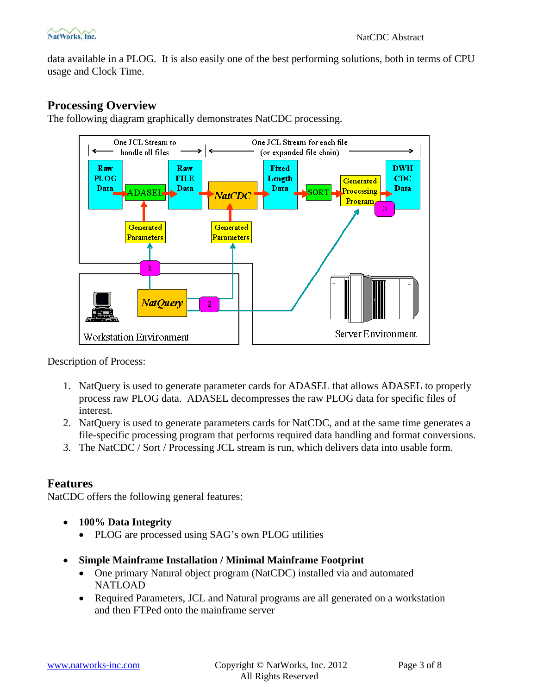<span id="page-2-0"></span>data available in a PLOG. It is also easily one of the best performing solutions, both in terms of CPU usage and Clock Time.

### **Processing Overview**

The following diagram graphically demonstrates NatCDC processing.



Description of Process:

- 1. NatQuery is used to generate parameter cards for ADASEL that allows ADASEL to properly process raw PLOG data. ADASEL decompresses the raw PLOG data for specific files of interest.
- 2. NatQuery is used to generate parameters cards for NatCDC, and at the same time generates a file-specific processing program that performs required data handling and format conversions.
- 3. The NatCDC / Sort / Processing JCL stream is run, which delivers data into usable form.

#### **Features**

NatCDC offers the following general features:

- **100% Data Integrity**
	- PLOG are processed using SAG's own PLOG utilities
- **Simple Mainframe Installation / Minimal Mainframe Footprint**
	- One primary Natural object program (NatCDC) installed via and automated NATLOAD
	- Required Parameters, JCL and Natural programs are all generated on a workstation and then FTPed onto the mainframe server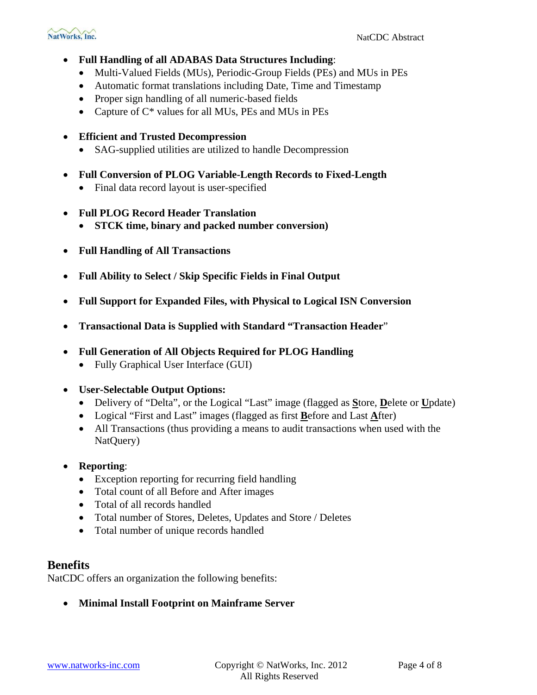- <span id="page-3-0"></span>• **Full Handling of all ADABAS Data Structures Including**:
	- Multi-Valued Fields (MUs), Periodic-Group Fields (PEs) and MUs in PEs
	- Automatic format translations including Date, Time and Timestamp
	- Proper sign handling of all numeric-based fields
	- Capture of  $C^*$  values for all MUs, PEs and MUs in PEs
- **Efficient and Trusted Decompression**
	- SAG-supplied utilities are utilized to handle Decompression
- **Full Conversion of PLOG Variable-Length Records to Fixed-Length** 
	- Final data record layout is user-specified
- **Full PLOG Record Header Translation**
	- **STCK time, binary and packed number conversion)**
- **Full Handling of All Transactions**
- **Full Ability to Select / Skip Specific Fields in Final Output**
- **Full Support for Expanded Files, with Physical to Logical ISN Conversion**
- **Transactional Data is Supplied with Standard "Transaction Header**"
- **Full Generation of All Objects Required for PLOG Handling**
	- Fully Graphical User Interface (GUI)
- **User-Selectable Output Options:**
	- Delivery of "Delta", or the Logical "Last" image (flagged as **S**tore, **D**elete or **U**pdate)
	- Logical "First and Last" images (flagged as first **B**efore and Last **A**fter)
	- All Transactions (thus providing a means to audit transactions when used with the NatQuery)
- **Reporting**:
	- Exception reporting for recurring field handling
	- Total count of all Before and After images
	- Total of all records handled
	- Total number of Stores, Deletes, Updates and Store / Deletes
	- Total number of unique records handled

#### **Benefits**

NatCDC offers an organization the following benefits:

• **Minimal Install Footprint on Mainframe Server**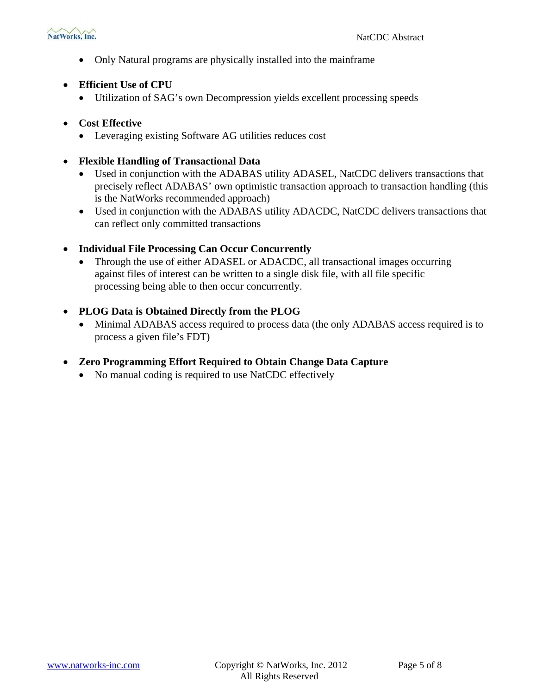• Only Natural programs are physically installed into the mainframe

#### • **Efficient Use of CPU**

• Utilization of SAG's own Decompression yields excellent processing speeds

#### • **Cost Effective**

• Leveraging existing Software AG utilities reduces cost

#### • **Flexible Handling of Transactional Data**

- Used in conjunction with the ADABAS utility ADASEL, NatCDC delivers transactions that precisely reflect ADABAS' own optimistic transaction approach to transaction handling (this is the NatWorks recommended approach)
- Used in conjunction with the ADABAS utility ADACDC, NatCDC delivers transactions that can reflect only committed transactions

#### • **Individual File Processing Can Occur Concurrently**

- Through the use of either ADASEL or ADACDC, all transactional images occurring against files of interest can be written to a single disk file, with all file specific processing being able to then occur concurrently.
- **PLOG Data is Obtained Directly from the PLOG**
	- Minimal ADABAS access required to process data (the only ADABAS access required is to process a given file's FDT)

#### • **Zero Programming Effort Required to Obtain Change Data Capture**

• No manual coding is required to use NatCDC effectively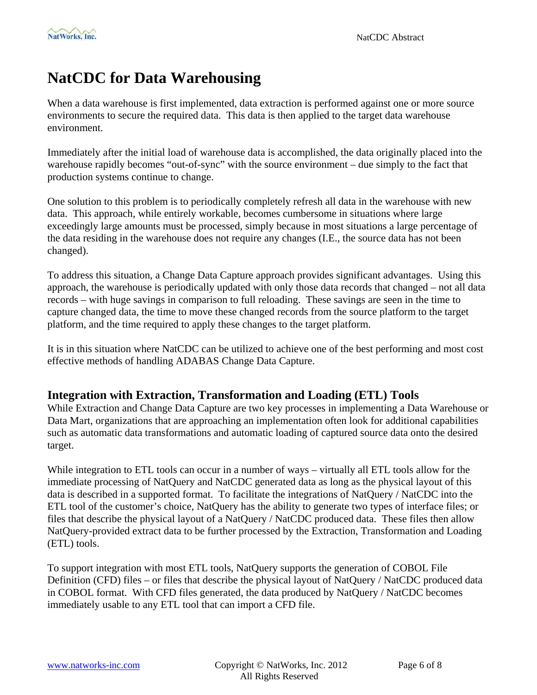# <span id="page-5-0"></span>**NatCDC for Data Warehousing**

When a data warehouse is first implemented, data extraction is performed against one or more source environments to secure the required data. This data is then applied to the target data warehouse environment.

Immediately after the initial load of warehouse data is accomplished, the data originally placed into the warehouse rapidly becomes "out-of-sync" with the source environment – due simply to the fact that production systems continue to change.

One solution to this problem is to periodically completely refresh all data in the warehouse with new data. This approach, while entirely workable, becomes cumbersome in situations where large exceedingly large amounts must be processed, simply because in most situations a large percentage of the data residing in the warehouse does not require any changes (I.E., the source data has not been changed).

To address this situation, a Change Data Capture approach provides significant advantages. Using this approach, the warehouse is periodically updated with only those data records that changed – not all data records – with huge savings in comparison to full reloading. These savings are seen in the time to capture changed data, the time to move these changed records from the source platform to the target platform, and the time required to apply these changes to the target platform.

It is in this situation where NatCDC can be utilized to achieve one of the best performing and most cost effective methods of handling ADABAS Change Data Capture.

#### **Integration with Extraction, Transformation and Loading (ETL) Tools**

While Extraction and Change Data Capture are two key processes in implementing a Data Warehouse or Data Mart, organizations that are approaching an implementation often look for additional capabilities such as automatic data transformations and automatic loading of captured source data onto the desired target.

While integration to ETL tools can occur in a number of ways – virtually all ETL tools allow for the immediate processing of NatQuery and NatCDC generated data as long as the physical layout of this data is described in a supported format. To facilitate the integrations of NatQuery / NatCDC into the ETL tool of the customer's choice, NatQuery has the ability to generate two types of interface files; or files that describe the physical layout of a NatQuery / NatCDC produced data. These files then allow NatQuery-provided extract data to be further processed by the Extraction, Transformation and Loading (ETL) tools.

To support integration with most ETL tools, NatQuery supports the generation of COBOL File Definition (CFD) files – or files that describe the physical layout of NatQuery / NatCDC produced data in COBOL format. With CFD files generated, the data produced by NatQuery / NatCDC becomes immediately usable to any ETL tool that can import a CFD file.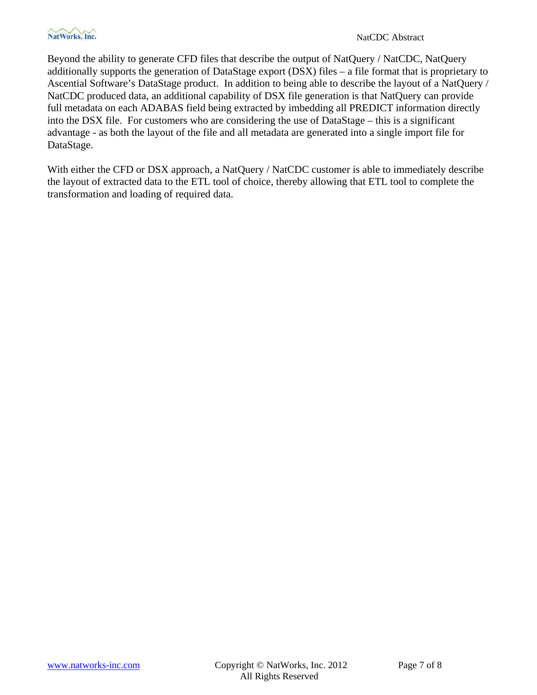Beyond the ability to generate CFD files that describe the output of NatQuery / NatCDC, NatQuery additionally supports the generation of DataStage export (DSX) files – a file format that is proprietary to Ascential Software's DataStage product. In addition to being able to describe the layout of a NatQuery / NatCDC produced data, an additional capability of DSX file generation is that NatQuery can provide full metadata on each ADABAS field being extracted by imbedding all PREDICT information directly into the DSX file. For customers who are considering the use of DataStage – this is a significant advantage - as both the layout of the file and all metadata are generated into a single import file for DataStage.

With either the CFD or DSX approach, a NatQuery / NatCDC customer is able to immediately describe the layout of extracted data to the ETL tool of choice, thereby allowing that ETL tool to complete the transformation and loading of required data.